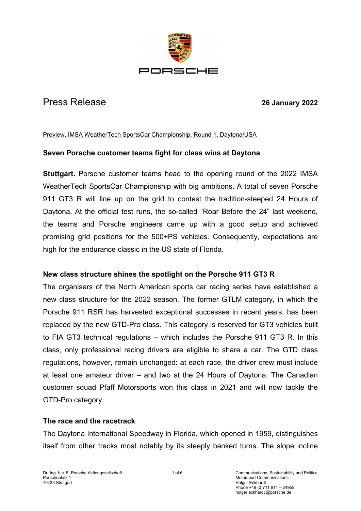

# Press Release **26 January 2022**

#### Preview, IMSA WeatherTech SportsCar Championship, Round 1, Daytona/USA

#### **Seven Porsche customer teams fight for class wins at Daytona**

**Stuttgart.** Porsche customer teams head to the opening round of the 2022 IMSA WeatherTech SportsCar Championship with big ambitions. A total of seven Porsche 911 GT3 R will line up on the grid to contest the tradition-steeped 24 Hours of Daytona. At the official test runs, the so-called "Roar Before the 24" last weekend, the teams and Porsche engineers came up with a good setup and achieved promising grid positions for the 500+PS vehicles. Consequently, expectations are high for the endurance classic in the US state of Florida.

#### **New class structure shines the spotlight on the Porsche 911 GT3 R**

The organisers of the North American sports car racing series have established a new class structure for the 2022 season. The former GTLM category, in which the Porsche 911 RSR has harvested exceptional successes in recent years, has been replaced by the new GTD-Pro class. This category is reserved for GT3 vehicles built to FIA GT3 technical regulations – which includes the Porsche 911 GT3 R. In this class, only professional racing drivers are eligible to share a car. The GTD class regulations, however, remain unchanged: at each race, the driver crew must include at least one amateur driver – and two at the 24 Hours of Daytona. The Canadian customer squad Pfaff Motorsports won this class in 2021 and will now tackle the GTD-Pro category.

#### **The race and the racetrack**

The Daytona International Speedway in Florida, which opened in 1959, distinguishes itself from other tracks most notably by its steeply banked turns. The slope incline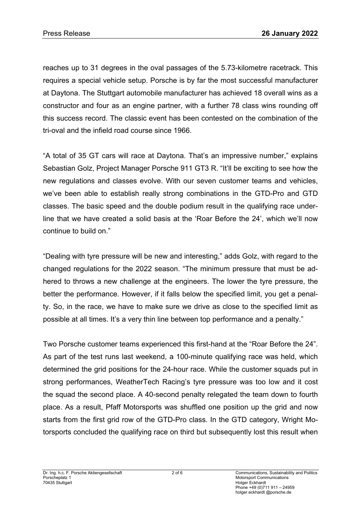reaches up to 31 degrees in the oval passages of the 5.73-kilometre racetrack. This requires a special vehicle setup. Porsche is by far the most successful manufacturer at Daytona. The Stuttgart automobile manufacturer has achieved 18 overall wins as a constructor and four as an engine partner, with a further 78 class wins rounding off this success record. The classic event has been contested on the combination of the tri-oval and the infield road course since 1966.

"A total of 35 GT cars will race at Daytona. That's an impressive number," explains Sebastian Golz, Project Manager Porsche 911 GT3 R. "It'll be exciting to see how the new regulations and classes evolve. With our seven customer teams and vehicles, we've been able to establish really strong combinations in the GTD-Pro and GTD classes. The basic speed and the double podium result in the qualifying race underline that we have created a solid basis at the 'Roar Before the 24', which we'll now continue to build on."

"Dealing with tyre pressure will be new and interesting," adds Golz, with regard to the changed regulations for the 2022 season. "The minimum pressure that must be adhered to throws a new challenge at the engineers. The lower the tyre pressure, the better the performance. However, if it falls below the specified limit, you get a penalty. So, in the race, we have to make sure we drive as close to the specified limit as possible at all times. It's a very thin line between top performance and a penalty."

Two Porsche customer teams experienced this first-hand at the "Roar Before the 24". As part of the test runs last weekend, a 100-minute qualifying race was held, which determined the grid positions for the 24-hour race. While the customer squads put in strong performances, WeatherTech Racing's tyre pressure was too low and it cost the squad the second place. A 40-second penalty relegated the team down to fourth place. As a result, Pfaff Motorsports was shuffled one position up the grid and now starts from the first grid row of the GTD-Pro class. In the GTD category, Wright Motorsports concluded the qualifying race on third but subsequently lost this result when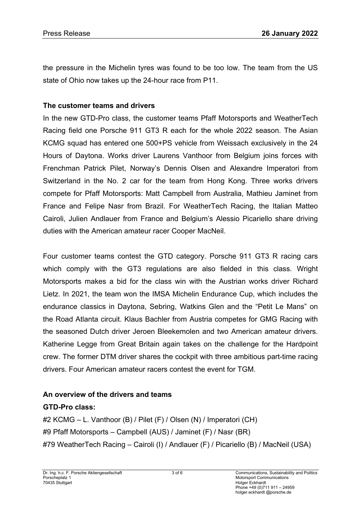the pressure in the Michelin tyres was found to be too low. The team from the US state of Ohio now takes up the 24-hour race from P11.

#### **The customer teams and drivers**

In the new GTD-Pro class, the customer teams Pfaff Motorsports and WeatherTech Racing field one Porsche 911 GT3 R each for the whole 2022 season. The Asian KCMG squad has entered one 500+PS vehicle from Weissach exclusively in the 24 Hours of Daytona. Works driver Laurens Vanthoor from Belgium joins forces with Frenchman Patrick Pilet, Norway's Dennis Olsen and Alexandre Imperatori from Switzerland in the No. 2 car for the team from Hong Kong. Three works drivers compete for Pfaff Motorsports: Matt Campbell from Australia, Mathieu Jaminet from France and Felipe Nasr from Brazil. For WeatherTech Racing, the Italian Matteo Cairoli, Julien Andlauer from France and Belgium's Alessio Picariello share driving duties with the American amateur racer Cooper MacNeil.

Four customer teams contest the GTD category. Porsche 911 GT3 R racing cars which comply with the GT3 regulations are also fielded in this class. Wright Motorsports makes a bid for the class win with the Austrian works driver Richard Lietz. In 2021, the team won the IMSA Michelin Endurance Cup, which includes the endurance classics in Daytona, Sebring, Watkins Glen and the "Petit Le Mans" on the Road Atlanta circuit. Klaus Bachler from Austria competes for GMG Racing with the seasoned Dutch driver Jeroen Bleekemolen and two American amateur drivers. Katherine Legge from Great Britain again takes on the challenge for the Hardpoint crew. The former DTM driver shares the cockpit with three ambitious part-time racing drivers. Four American amateur racers contest the event for TGM.

## **An overview of the drivers and teams**

## **GTD-Pro class:**

#2 KCMG – L. Vanthoor (B) / Pilet (F) / Olsen (N) / Imperatori (CH) #9 Pfaff Motorsports – Campbell (AUS) / Jaminet (F) / Nasr (BR) #79 WeatherTech Racing – Cairoli (I) / Andlauer (F) / Picariello (B) / MacNeil (USA)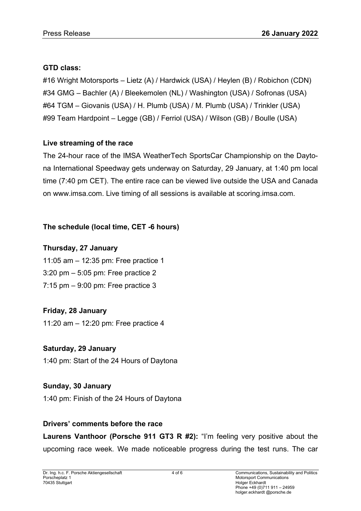## **GTD class:**

#16 Wright Motorsports – Lietz (A) / Hardwick (USA) / Heylen (B) / Robichon (CDN) #34 GMG – Bachler (A) / Bleekemolen (NL) / Washington (USA) / Sofronas (USA) #64 TGM – Giovanis (USA) / H. Plumb (USA) / M. Plumb (USA) / Trinkler (USA) #99 Team Hardpoint – Legge (GB) / Ferriol (USA) / Wilson (GB) / Boulle (USA)

## **Live streaming of the race**

The 24-hour race of the IMSA WeatherTech SportsCar Championship on the Daytona International Speedway gets underway on Saturday, 29 January, at 1:40 pm local time (7:40 pm CET). The entire race can be viewed live outside the USA and Canada on www.imsa.com. Live timing of all sessions is available at scoring.imsa.com.

# **The schedule (local time, CET -6 hours)**

# **Thursday, 27 January**

11:05 am – 12:35 pm: Free practice 1 3:20 pm – 5:05 pm: Free practice 2 7:15 pm – 9:00 pm: Free practice 3

# **Friday, 28 January**

11:20 am – 12:20 pm: Free practice 4

# **Saturday, 29 January**

1:40 pm: Start of the 24 Hours of Daytona

## **Sunday, 30 January**

1:40 pm: Finish of the 24 Hours of Daytona

## **Drivers' comments before the race**

**Laurens Vanthoor (Porsche 911 GT3 R #2):** "I'm feeling very positive about the upcoming race week. We made noticeable progress during the test runs. The car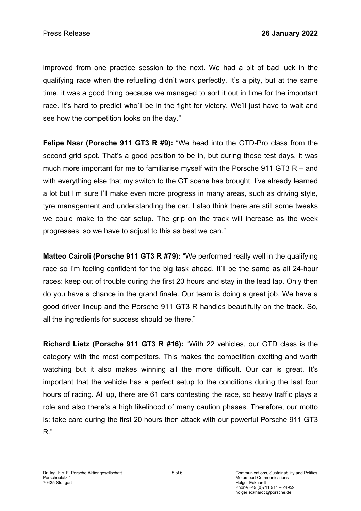improved from one practice session to the next. We had a bit of bad luck in the qualifying race when the refuelling didn't work perfectly. It's a pity, but at the same time, it was a good thing because we managed to sort it out in time for the important race. It's hard to predict who'll be in the fight for victory. We'll just have to wait and see how the competition looks on the day."

**Felipe Nasr (Porsche 911 GT3 R #9):** "We head into the GTD-Pro class from the second grid spot. That's a good position to be in, but during those test days, it was much more important for me to familiarise myself with the Porsche 911 GT3 R – and with everything else that my switch to the GT scene has brought. I've already learned a lot but I'm sure I'll make even more progress in many areas, such as driving style, tyre management and understanding the car. I also think there are still some tweaks we could make to the car setup. The grip on the track will increase as the week progresses, so we have to adjust to this as best we can."

**Matteo Cairoli (Porsche 911 GT3 R #79):** "We performed really well in the qualifying race so I'm feeling confident for the big task ahead. It'll be the same as all 24-hour races: keep out of trouble during the first 20 hours and stay in the lead lap. Only then do you have a chance in the grand finale. Our team is doing a great job. We have a good driver lineup and the Porsche 911 GT3 R handles beautifully on the track. So, all the ingredients for success should be there."

**Richard Lietz (Porsche 911 GT3 R #16):** "With 22 vehicles, our GTD class is the category with the most competitors. This makes the competition exciting and worth watching but it also makes winning all the more difficult. Our car is great. It's important that the vehicle has a perfect setup to the conditions during the last four hours of racing. All up, there are 61 cars contesting the race, so heavy traffic plays a role and also there's a high likelihood of many caution phases. Therefore, our motto is: take care during the first 20 hours then attack with our powerful Porsche 911 GT3 R."